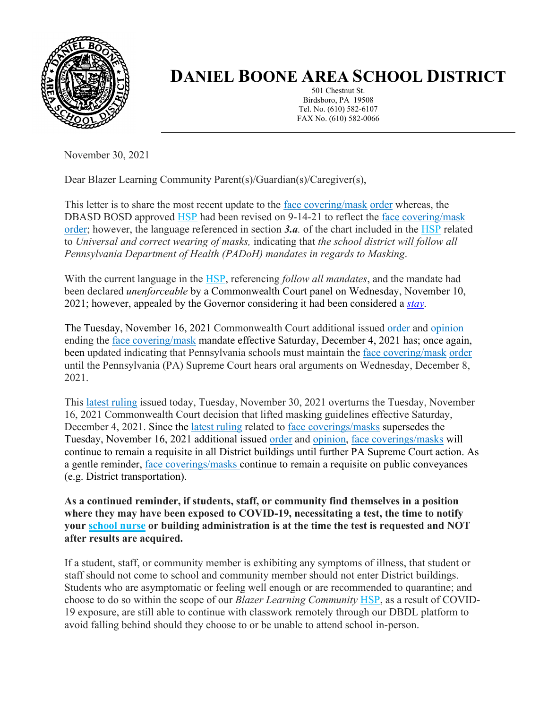

## **DANIEL BOONE AREA SCHOOL DISTRICT**

501 Chestnut St. Birdsboro, PA 19508 Tel. No. (610) 582-6107 FAX No. (610) 582-0066

November 30, 2021

Dear Blazer Learning Community Parent(s)/Guardian(s)/Caregiver(s),

This letter is to share the most recent update to the [face covering/mask](https://www.cdc.gov/coronavirus/2019-ncov/prevent-getting-sick/cloth-face-cover-guidance.html) [order](https://www.health.pa.gov/topics/Documents/Diseases%20and%20Conditions/Order%20of%20the%20Acting%20Secretary%20Directing%20Face%20Coverings%20in%20Schools.pdf) whereas, the DBASD BOSD approved [HSP](https://www.dboone.org/Page/516) had been revised on 9-14-21 to reflect the [face covering/mask](https://www.cdc.gov/coronavirus/2019-ncov/prevent-getting-sick/cloth-face-cover-guidance.html) [order;](https://www.health.pa.gov/topics/Documents/Diseases%20and%20Conditions/Order%20of%20the%20Acting%20Secretary%20Directing%20Face%20Coverings%20in%20Schools.pdf) however, the language referenced in section *3.a.* of the chart included in the [HSP](https://www.dboone.org/Page/516) related to *Universal and correct wearing of masks,* indicating that *the school district will follow all Pennsylvania Department of Health (PADoH) mandates in regards to Masking*.

With the current language in the [HSP,](https://www.dboone.org/Page/516) referencing *follow all mandates*, and the mandate had been declared *unenforceable* by a Commonwealth Court panel on Wednesday, November 10, 2021; however, appealed by the Governor considering it had been considered a *[stay.](https://www.law.cornell.edu/wex/stay_of_proceedings#:~:text=A%20ruling%20by%20a%20court,proceedings%20in%20the%20court%20below)*

The Tuesday, November 16, 2021 Commonwealth Court additional issued [order](https://www.pacourts.us/Storage/media/pdfs/20211116/214536-294md21stayorder.pdf) and [opinion](https://www.pacourts.us/Storage/media/pdfs/20211116/214246-294md21stay.pdf) ending the [face covering/mask](https://www.cdc.gov/coronavirus/2019-ncov/prevent-getting-sick/cloth-face-cover-guidance.html) mandate effective Saturday, December 4, 2021 has; once again, been updated indicating that Pennsylvania schools must maintain the [face covering/mask](https://www.cdc.gov/coronavirus/2019-ncov/prevent-getting-sick/cloth-face-cover-guidance.html) [order](https://www.health.pa.gov/topics/Documents/Diseases%20and%20Conditions/Order%20of%20the%20Acting%20Secretary%20Directing%20Face%20Coverings%20in%20Schools.pdf) until the Pennsylvania (PA) Supreme Court hears oral arguments on Wednesday, December 8, 2021.

This [latest ruling](https://www.pacourts.us/Storage/media/pdfs/20211130/164911-nov.30,2021-order.pdf) issued today, Tuesday, November 30, 2021 overturns the Tuesday, November 16, 2021 Commonwealth Court decision that lifted masking guidelines effective Saturday, December 4, 2021. Since the [latest ruling](https://www.pacourts.us/Storage/media/pdfs/20211130/164911-nov.30,2021-order.pdf) related to [face coverings/masks](https://www.cdc.gov/coronavirus/2019-ncov/prevent-getting-sick/cloth-face-cover-guidance.html) supersedes the Tuesday, November 16, 2021 additional issued [order](https://www.pacourts.us/Storage/media/pdfs/20211116/214536-294md21stayorder.pdf) and [opinion,](https://www.pacourts.us/Storage/media/pdfs/20211116/214246-294md21stay.pdf) [face coverings/masks](https://www.cdc.gov/coronavirus/2019-ncov/prevent-getting-sick/cloth-face-cover-guidance.html) will continue to remain a requisite in all District buildings until further PA Supreme Court action. As a gentle reminder, [face coverings/masks](https://www.cdc.gov/coronavirus/2019-ncov/prevent-getting-sick/cloth-face-cover-guidance.html) continue to remain a requisite on public conveyances (e.g. District transportation).

**As a continued reminder, if students, staff, or community find themselves in a position where they may have been exposed to COVID-19, necessitating a test, the time to notify your [school nurse](https://www.dboone.org/Page/484) or building administration is at the time the test is requested and NOT after results are acquired.**

If a student, staff, or community member is exhibiting any symptoms of illness, that student or staff should not come to school and community member should not enter District buildings. Students who are asymptomatic or feeling well enough or are recommended to quarantine; and choose to do so within the scope of our *Blazer Learning Community* [HSP,](https://www.dboone.org/Page/516) as a result of COVID-19 exposure, are still able to continue with classwork remotely through our DBDL platform to avoid falling behind should they choose to or be unable to attend school in-person.